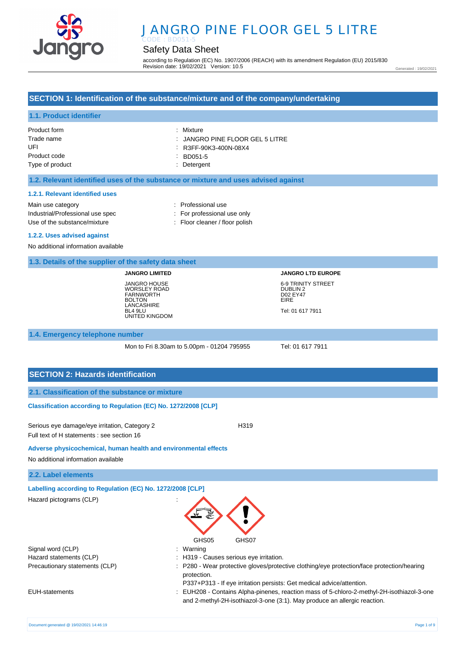

# JANGRO PINE FLOOR GEL 5 LITRE

## Safety Data Sheet

according to Regulation (EC) No. 1907/2006 (REACH) with its amendment Regulation (EU) 2015/830 Revision date: 19/02/2021 Version: 10.5

Generated : 19/02/2021

### **SECTION 1: Identification of the substance/mixture and of the company/undertaking**

### **1.1. Product identifier**

| Product form    | : Mixture                                  |
|-----------------|--------------------------------------------|
| Trade name      | $\therefore$ JANGRO PINE FLOOR GEL 5 LITRE |
| UFI             | R3FF-90K3-400N-08X4                        |
| Product code    | BD051-5                                    |
| Type of product | : Detergent                                |

#### **1.2. Relevant identified uses of the substance or mixture and uses advised against**

#### **1.2.1. Relevant identified uses**

Main use category **Example 20** and the Main use category **in the Contract 20 and 10** and 10 and 10 and 10 and 10 and 10 and 10 and 10 and 10 and 10 and 10 and 10 and 10 and 10 and 10 and 10 and 10 and 10 and 10 and 10 and Industrial/Professional use spec : For professional use only Use of the substance/mixture : Floor cleaner / floor polish

#### **1.2.2. Uses advised against**

No additional information available

#### **1.3. Details of the supplier of the safety data sheet**

**JANGRO LIMITED** JANGRO HOUSE WORSLEY ROAD FARNWORTH **BOLTON** LANCASHIRE BL4 9LU UNITED KINGDOM **JANGRO LTD EUROPE** 6-9 TRINITY STREET DUBLIN 2 D02 EY47 EIRE Tel: 01 617 7911

#### **1.4. Emergency telephone number**

Mon to Fri 8.30am to 5.00pm - 01204 795955 Tel: 01 617 7911

### **SECTION 2: Hazards identification**

#### **Classification according to Regulation (EC) No. 1272/2008 [CLP]**

Serious eye damage/eye irritation, Category 2 <br>
H319 Full text of H statements : see section 16

#### **Adverse physicochemical, human health and environmental effects**

No additional information available

#### **2.2. Label elements**

**Labelling according to Regulation (EC) No. 1272/2008 [CLP]** 

| Hazard pictograms (CLP) |  |  |
|-------------------------|--|--|
|                         |  |  |
|                         |  |  |



- Hazard statements (CLP)  $\qquad \qquad$ : H319 Causes serious eye irritation.
- Precautionary statements (CLP) : P280 Wear protective gloves/protective clothing/eye protection/face protection/hearing protection.

P337+P313 - If eye irritation persists: Get medical advice/attention.

EUH-statements : EUH208 - Contains Alpha-pinenes, reaction mass of 5-chloro-2-methyl-2H-isothiazol-3-one and 2-methyl-2H-isothiazol-3-one (3:1). May produce an allergic reaction.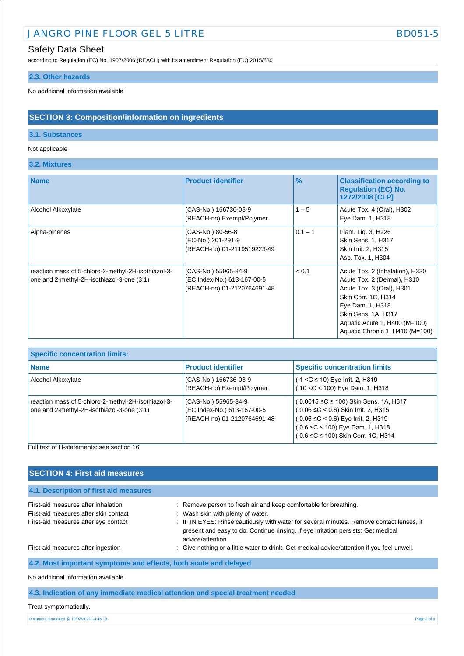## JANGRO PINE FLOOR GEL 5 LITRE BD051-5

## Safety Data Sheet

according to Regulation (EC) No. 1907/2006 (REACH) with its amendment Regulation (EU) 2015/830

### **2.3. Other hazards**

No additional information available

## **SECTION 3: Composition/information on ingredients**

### **3.1. Substances**

### Not applicable

**3.2. Mixtures**

| <b>Name</b>                                                                                       | <b>Product identifier</b>                                                          | $\frac{9}{6}$ | <b>Classification according to</b><br><b>Regulation (EC) No.</b><br>1272/2008 [CLP]                                                                                                                                               |
|---------------------------------------------------------------------------------------------------|------------------------------------------------------------------------------------|---------------|-----------------------------------------------------------------------------------------------------------------------------------------------------------------------------------------------------------------------------------|
| Alcohol Alkoxylate                                                                                | (CAS-No.) 166736-08-9<br>(REACH-no) Exempt/Polymer                                 | $1 - 5$       | Acute Tox. 4 (Oral), H302<br>Eye Dam. 1, H318                                                                                                                                                                                     |
| Alpha-pinenes                                                                                     | (CAS-No.) 80-56-8<br>(EC-No.) 201-291-9<br>(REACH-no) 01-2119519223-49             | $0.1 - 1$     | Flam. Lig. 3, H226<br><b>Skin Sens. 1, H317</b><br>Skin Irrit. 2, H315<br>Asp. Tox. 1, H304                                                                                                                                       |
| reaction mass of 5-chloro-2-methyl-2H-isothiazol-3-<br>one and 2-methyl-2H-isothiazol-3-one (3:1) | (CAS-No.) 55965-84-9<br>(EC Index-No.) 613-167-00-5<br>(REACH-no) 01-2120764691-48 | < 0.1         | Acute Tox. 2 (Inhalation), H330<br>Acute Tox. 2 (Dermal), H310<br>Acute Tox. 3 (Oral), H301<br>Skin Corr. 1C, H314<br>Eye Dam. 1, H318<br>Skin Sens. 1A, H317<br>Aquatic Acute 1, H400 (M=100)<br>Aquatic Chronic 1, H410 (M=100) |

| <b>Specific concentration limits:</b>                                                             |                                                                                    |                                                                                                                                                                                                                  |  |  |
|---------------------------------------------------------------------------------------------------|------------------------------------------------------------------------------------|------------------------------------------------------------------------------------------------------------------------------------------------------------------------------------------------------------------|--|--|
| <b>Name</b>                                                                                       | <b>Product identifier</b>                                                          | <b>Specific concentration limits</b>                                                                                                                                                                             |  |  |
| Alcohol Alkoxylate                                                                                | (CAS-No.) 166736-08-9<br>(REACH-no) Exempt/Polymer                                 | $(1 < C \le 10)$ Eye Irrit. 2, H319<br>(10 < C < 100) Eye Dam. 1, H318                                                                                                                                           |  |  |
| reaction mass of 5-chloro-2-methyl-2H-isothiazol-3-<br>one and 2-methyl-2H-isothiazol-3-one (3:1) | (CAS-No.) 55965-84-9<br>(EC Index-No.) 613-167-00-5<br>(REACH-no) 01-2120764691-48 | (0.0015 ≤C ≤ 100) Skin Sens. 1A, H317<br>$(0.06 \leq C < 0.6)$ Skin Irrit. 2, H315<br>$(0.06 \leq C < 0.6)$ Eye Irrit. 2, H319<br>$(0.6 \leq C \leq 100)$ Eye Dam. 1, H318<br>(0.6 ≤C ≤ 100) Skin Corr. 1C, H314 |  |  |

Full text of H-statements: see section 16

| <b>SECTION 4: First aid measures</b>                                                                                 |                                                                                                                                                                                                                                                                                                             |
|----------------------------------------------------------------------------------------------------------------------|-------------------------------------------------------------------------------------------------------------------------------------------------------------------------------------------------------------------------------------------------------------------------------------------------------------|
| 4.1. Description of first aid measures                                                                               |                                                                                                                                                                                                                                                                                                             |
| First-aid measures after inhalation<br>First-aid measures after skin contact<br>First-aid measures after eye contact | : Remove person to fresh air and keep comfortable for breathing.<br>: Wash skin with plenty of water.<br>: IF IN EYES: Rinse cautiously with water for several minutes. Remove contact lenses, if<br>present and easy to do. Continue rinsing. If eye irritation persists: Get medical<br>advice/attention. |
| First-aid measures after ingestion                                                                                   | : Give nothing or a little water to drink. Get medical advice/attention if you feel unwell.                                                                                                                                                                                                                 |
| 4.2. Most important symptoms and effects, both acute and delayed                                                     |                                                                                                                                                                                                                                                                                                             |
| No additional information available                                                                                  |                                                                                                                                                                                                                                                                                                             |

**4.3. Indication of any immediate medical attention and special treatment needed**

Treat symptomatically.

Document generated @ 19/02/2021 14:46:19 Page 2 of 9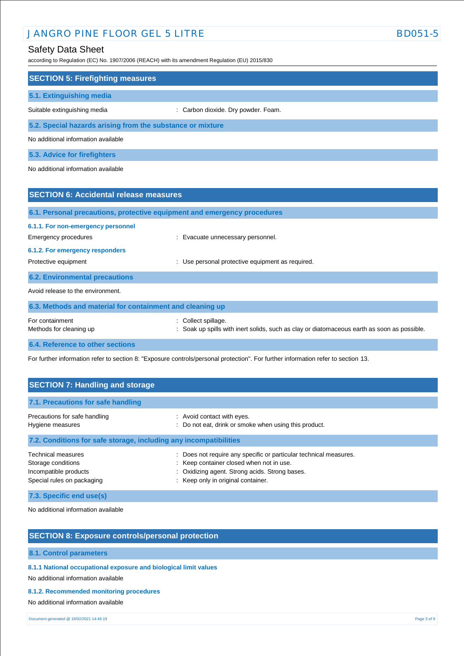## JANGRO PINE FLOOR GEL 5 LITRE BD051-5

## Safety Data Sheet

according to Regulation (EC) No. 1907/2006 (REACH) with its amendment Regulation (EU) 2015/830

| according to Regulation (EC) No. 1907/2006 (REACH) with its amendment Regulation (EU) 2015/830 |                                                                                                                  |  |  |  |
|------------------------------------------------------------------------------------------------|------------------------------------------------------------------------------------------------------------------|--|--|--|
| <b>SECTION 5: Firefighting measures</b>                                                        |                                                                                                                  |  |  |  |
| 5.1. Extinguishing media                                                                       |                                                                                                                  |  |  |  |
| Suitable extinguishing media                                                                   | : Carbon dioxide. Dry powder. Foam.                                                                              |  |  |  |
| 5.2. Special hazards arising from the substance or mixture                                     |                                                                                                                  |  |  |  |
| No additional information available                                                            |                                                                                                                  |  |  |  |
| 5.3. Advice for firefighters                                                                   |                                                                                                                  |  |  |  |
| No additional information available                                                            |                                                                                                                  |  |  |  |
| <b>SECTION 6: Accidental release measures</b>                                                  |                                                                                                                  |  |  |  |
| 6.1. Personal precautions, protective equipment and emergency procedures                       |                                                                                                                  |  |  |  |
| 6.1.1. For non-emergency personnel                                                             |                                                                                                                  |  |  |  |
| <b>Emergency procedures</b>                                                                    | : Evacuate unnecessary personnel.                                                                                |  |  |  |
| 6.1.2. For emergency responders                                                                |                                                                                                                  |  |  |  |
| Protective equipment                                                                           | : Use personal protective equipment as required.                                                                 |  |  |  |
| <b>6.2. Environmental precautions</b>                                                          |                                                                                                                  |  |  |  |
| Avoid release to the environment.                                                              |                                                                                                                  |  |  |  |
| 6.3. Methods and material for containment and cleaning up                                      |                                                                                                                  |  |  |  |
| For containment<br>Methods for cleaning up                                                     | : Collect spillage.<br>Soak up spills with inert solids, such as clay or diatomaceous earth as soon as possible. |  |  |  |

**6.4. Reference to other sections**

For further information refer to section 8: "Exposure controls/personal protection". For further information refer to section 13.

| <b>SECTION 7: Handling and storage</b>                                                                 |                                                                                                                                                                                                          |  |  |
|--------------------------------------------------------------------------------------------------------|----------------------------------------------------------------------------------------------------------------------------------------------------------------------------------------------------------|--|--|
| 7.1. Precautions for safe handling                                                                     |                                                                                                                                                                                                          |  |  |
| Precautions for safe handling<br>Hygiene measures                                                      | : Avoid contact with eyes.<br>: Do not eat, drink or smoke when using this product.                                                                                                                      |  |  |
| 7.2. Conditions for safe storage, including any incompatibilities                                      |                                                                                                                                                                                                          |  |  |
| <b>Technical measures</b><br>Storage conditions<br>Incompatible products<br>Special rules on packaging | : Does not require any specific or particular technical measures.<br>: Keep container closed when not in use.<br>Oxidizing agent. Strong acids. Strong bases.<br>÷<br>: Keep only in original container. |  |  |

**7.3. Specific end use(s)**

No additional information available

## **SECTION 8: Exposure controls/personal protection**

### **8.1. Control parameters**

**8.1.1 National occupational exposure and biological limit values** 

No additional information available

#### **8.1.2. Recommended monitoring procedures**

No additional information available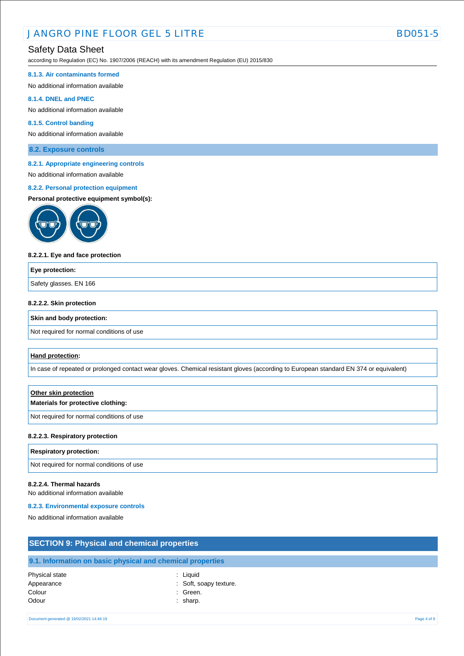according to Regulation (EC) No. 1907/2006 (REACH) with its amendment Regulation (EU) 2015/830

#### **8.1.3. Air contaminants formed**

No additional information available

#### **8.1.4. DNEL and PNEC**

No additional information available

### **8.1.5. Control banding**

No additional information available

**8.2. Exposure controls**

#### **8.2.1. Appropriate engineering controls**

No additional information available

### **8.2.2. Personal protection equipment**

#### **Personal protective equipment symbol(s):**



#### **8.2.2.1. Eye and face protection**

| Eye protection:        |  |
|------------------------|--|
| Safety glasses. EN 166 |  |
|                        |  |

### **8.2.2.2. Skin protection**

#### **Skin and body protection:**

Not required for normal conditions of use

#### **Hand protection:**

In case of repeated or prolonged contact wear gloves. Chemical resistant gloves (according to European standard EN 374 or equivalent)

## **Other skin protection Materials for protective clothing:**

Not required for normal conditions of use

#### **8.2.2.3. Respiratory protection**

#### **Respiratory protection:**

Not required for normal conditions of use

### **8.2.2.4. Thermal hazards**

No additional information available

#### **8.2.3. Environmental exposure controls**

Colour : Green. Odour : sharp.

No additional information available

| <b>SECTION 9: Physical and chemical properties</b> |                                                            |  |  |
|----------------------------------------------------|------------------------------------------------------------|--|--|
|                                                    | 9.1. Information on basic physical and chemical properties |  |  |
| Physical state<br>Appearance                       | : Liauid<br>: Soft, soapy texture.                         |  |  |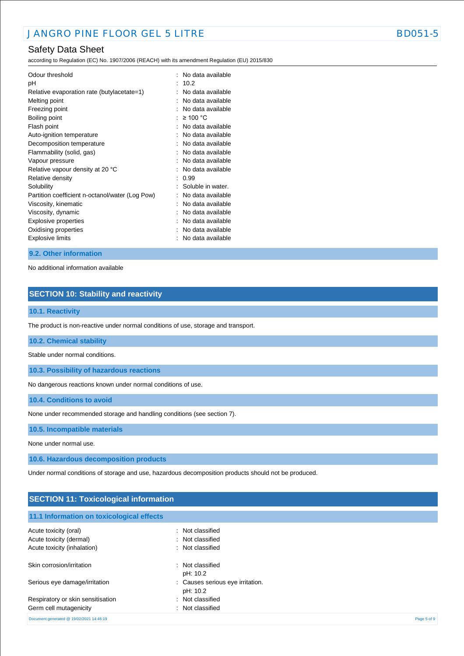according to Regulation (EC) No. 1907/2006 (REACH) with its amendment Regulation (EU) 2015/830

| Odour threshold<br>рH<br>Relative evaporation rate (butylacetate=1)<br>Melting point<br>Freezing point<br>Boiling point<br>Flash point<br>Auto-ignition temperature<br>Decomposition temperature<br>Flammability (solid, gas)<br>Vapour pressure<br>Relative vapour density at 20 °C<br>Relative density<br>Solubility<br>Partition coefficient n-octanol/water (Log Pow)<br>Viscosity, kinematic | ۰<br>$\ddot{\phantom{a}}$ | No data available<br>10.2<br>No data available<br>No data available<br>No data available<br>$\geq 100$ °C<br>No data available<br>No data available<br>No data available<br>No data available<br>No data available<br>No data available<br>0.99<br>Soluble in water.<br>No data available<br>No data available |
|---------------------------------------------------------------------------------------------------------------------------------------------------------------------------------------------------------------------------------------------------------------------------------------------------------------------------------------------------------------------------------------------------|---------------------------|----------------------------------------------------------------------------------------------------------------------------------------------------------------------------------------------------------------------------------------------------------------------------------------------------------------|
|                                                                                                                                                                                                                                                                                                                                                                                                   |                           |                                                                                                                                                                                                                                                                                                                |
| Viscosity, dynamic<br>Explosive properties<br>Oxidising properties<br>Explosive limits                                                                                                                                                                                                                                                                                                            |                           | No data available<br>No data available<br>No data available<br>No data available                                                                                                                                                                                                                               |

#### **9.2. Other information**

No additional information available

## **SECTION 10: Stability and reactivity**

### **10.1. Reactivity**

The product is non-reactive under normal conditions of use, storage and transport.

#### **10.2. Chemical stability**

Stable under normal conditions.

**10.3. Possibility of hazardous reactions**

No dangerous reactions known under normal conditions of use.

**10.4. Conditions to avoid**

None under recommended storage and handling conditions (see section 7).

**10.5. Incompatible materials**

None under normal use.

**10.6. Hazardous decomposition products**

Under normal conditions of storage and use, hazardous decomposition products should not be produced.

## **SECTION 11: Toxicological information 11.1 Information on toxicological effects** Acute toxicity (oral) **Example 2** Contract 2 Contract 2 Contract 2 Contract 2 Contract 2 Contract 2 Contract 2 Contract 2 Contract 2 Contract 2 Contract 2 Contract 2 Contract 2 Contract 2 Contract 2 Contract 2 Contract 2 C Acute toxicity (dermal) **Example 2** Contract 2 Contract 2 Contract 2 Contract 2 Contract 2 Contract 2 Contract 2 Contract 2 Contract 2 Contract 2 Contract 2 Contract 2 Contract 2 Contract 2 Contract 2 Contract 2 Contract 2 Acute toxicity (inhalation) **individual to the Case of Cassified** in Not classified

| Skin corrosion/irritation                | Not classified                               |             |
|------------------------------------------|----------------------------------------------|-------------|
|                                          | pH: 10.2                                     |             |
| Serious eye damage/irritation            | : Causes serious eye irritation.<br>pH: 10.2 |             |
| Respiratory or skin sensitisation        | : Not classified                             |             |
| Germ cell mutagenicity                   | : Not classified                             |             |
| Document generated @ 19/02/2021 14:46:19 |                                              | Page 5 of 9 |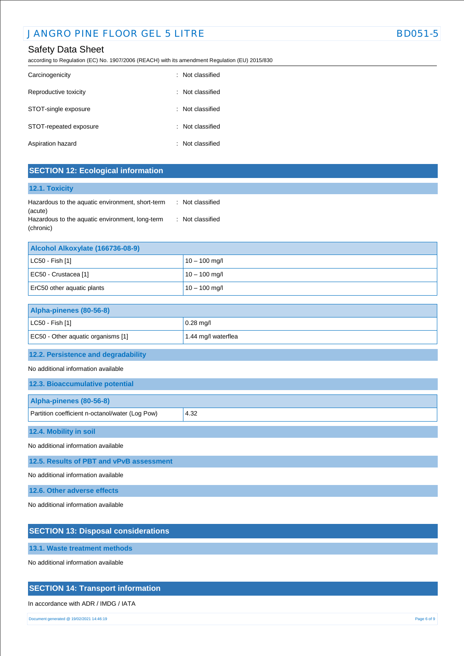according to Regulation (EC) No. 1907/2006 (REACH) with its amendment Regulation (EU) 2015/830

| Carcinogenicity        |    | : Not classified |
|------------------------|----|------------------|
| Reproductive toxicity  | ÷. | Not classified   |
| STOT-single exposure   |    | : Not classified |
| STOT-repeated exposure |    | : Not classified |
| Aspiration hazard      |    | : Not classified |

## **SECTION 12: Ecological information**

### **12.1. Toxicity**

| Hazardous to the aquatic environment, short-term | : Not classified |
|--------------------------------------------------|------------------|
| (acute)                                          |                  |
| Hazardous to the aquatic environment, long-term  | : Not classified |
| (chronic)                                        |                  |

| Alcohol Alkoxylate (166736-08-9) |                 |  |
|----------------------------------|-----------------|--|
| $ $ LC50 - Fish [1]              | $10 - 100$ mg/l |  |
| EC50 - Crustacea [1]             | $10 - 100$ mg/l |  |
| ErC50 other aquatic plants       | $10 - 100$ mg/l |  |

| Alpha-pinenes (80-56-8)            |                     |  |
|------------------------------------|---------------------|--|
| $ $ LC50 - Fish [1]                | $0.28$ mg/l         |  |
| EC50 - Other aquatic organisms [1] | 1.44 mg/l waterflea |  |

## **12.2. Persistence and degradability**

No additional information available

| 12.3. Bioaccumulative potential                 |      |  |
|-------------------------------------------------|------|--|
| Alpha-pinenes (80-56-8)                         |      |  |
| Partition coefficient n-octanol/water (Log Pow) | 4.32 |  |
| 12.4. Mobility in soil                          |      |  |
| No additional information available             |      |  |

**12.5. Results of PBT and vPvB assessment**

No additional information available

**12.6. Other adverse effects**

No additional information available

### **SECTION 13: Disposal considerations**

**13.1. Waste treatment methods**

No additional information available

## **SECTION 14: Transport information**

### In accordance with ADR / IMDG / IATA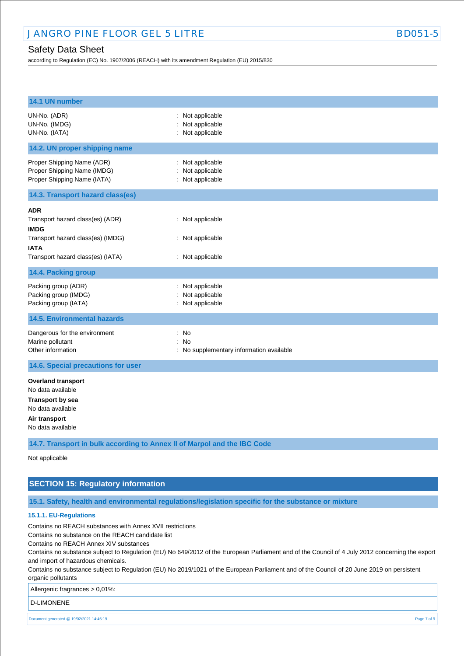according to Regulation (EC) No. 1907/2006 (REACH) with its amendment Regulation (EU) 2015/830

| 14.1 UN number                                                                                                                                  |                                                          |
|-------------------------------------------------------------------------------------------------------------------------------------------------|----------------------------------------------------------|
| UN-No. (ADR)<br>UN-No. (IMDG)<br>UN-No. (IATA)                                                                                                  | : Not applicable<br>Not applicable<br>: Not applicable   |
| 14.2. UN proper shipping name                                                                                                                   |                                                          |
| Proper Shipping Name (ADR)<br>Proper Shipping Name (IMDG)<br>Proper Shipping Name (IATA)                                                        | : Not applicable<br>Not applicable<br>: Not applicable   |
| 14.3. Transport hazard class(es)                                                                                                                |                                                          |
| ADR<br>Transport hazard class(es) (ADR)<br><b>IMDG</b><br>Transport hazard class(es) (IMDG)<br><b>IATA</b><br>Transport hazard class(es) (IATA) | : Not applicable<br>: Not applicable<br>: Not applicable |
| 14.4. Packing group                                                                                                                             |                                                          |
| Packing group (ADR)<br>Packing group (IMDG)<br>Packing group (IATA)                                                                             | : Not applicable<br>Not applicable<br>: Not applicable   |
| <b>14.5. Environmental hazards</b>                                                                                                              |                                                          |
| Dangerous for the environment<br>Marine pollutant<br>Other information                                                                          | : No<br>: No<br>: No supplementary information available |
| 14.6. Special precautions for user                                                                                                              |                                                          |
| <b>Overland transport</b><br>No data available<br><b>Transport by sea</b><br>No data available<br>Air transport<br>No data available            |                                                          |
| 14.7. Transport in bulk according to Annex II of Marpol and the IBC Code                                                                        |                                                          |
| Not applicable                                                                                                                                  |                                                          |

### **SECTION 15: Regulatory information**

**15.1. Safety, health and environmental regulations/legislation specific for the substance or mixture**

#### **15.1.1. EU-Regulations**

Contains no REACH substances with Annex XVII restrictions

Contains no substance on the REACH candidate list

Contains no REACH Annex XIV substances

Contains no substance subject to Regulation (EU) No 649/2012 of the European Parliament and of the Council of 4 July 2012 concerning the export and import of hazardous chemicals.

Contains no substance subject to Regulation (EU) No 2019/1021 of the European Parliament and of the Council of 20 June 2019 on persistent organic pollutants

Allergenic fragrances > 0,01%:

D-LIMONENE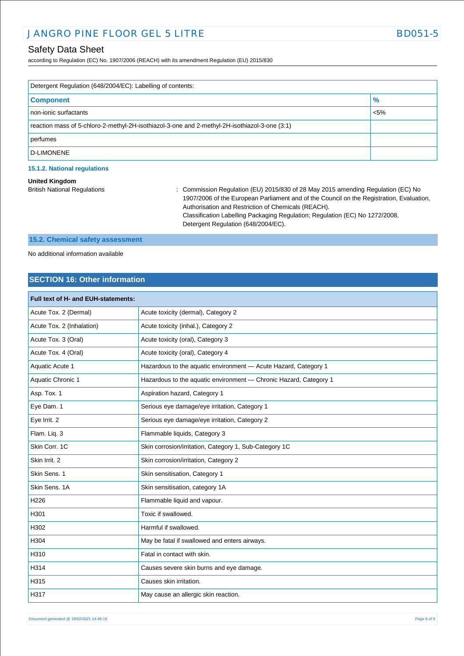according to Regulation (EC) No. 1907/2006 (REACH) with its amendment Regulation (EU) 2015/830

| Detergent Regulation (648/2004/EC): Labelling of contents:                                    |               |  |
|-----------------------------------------------------------------------------------------------|---------------|--|
| <b>Component</b>                                                                              | $\frac{9}{6}$ |  |
| non-ionic surfactants                                                                         | $< 5\%$       |  |
| reaction mass of 5-chloro-2-methyl-2H-isothiazol-3-one and 2-methyl-2H-isothiazol-3-one (3:1) |               |  |
| perfumes                                                                                      |               |  |
| D-LIMONENE                                                                                    |               |  |

### **15.1.2. National regulations**

#### **United Kingdom**

British National Regulations : Commission Regulation (EU) 2015/830 of 28 May 2015 amending Regulation (EC) No 1907/2006 of the European Parliament and of the Council on the Registration, Evaluation, Authorisation and Restriction of Chemicals (REACH). Classification Labelling Packaging Regulation; Regulation (EC) No 1272/2008. Detergent Regulation (648/2004/EC).

## **15.2. Chemical safety assessment**

No additional information available

### **SECTION 16: Other information**

| Full text of H- and EUH-statements: |                                                                   |
|-------------------------------------|-------------------------------------------------------------------|
| Acute Tox. 2 (Dermal)               | Acute toxicity (dermal), Category 2                               |
| Acute Tox. 2 (Inhalation)           | Acute toxicity (inhal.), Category 2                               |
| Acute Tox. 3 (Oral)                 | Acute toxicity (oral), Category 3                                 |
| Acute Tox. 4 (Oral)                 | Acute toxicity (oral), Category 4                                 |
| Aquatic Acute 1                     | Hazardous to the aquatic environment - Acute Hazard, Category 1   |
| Aquatic Chronic 1                   | Hazardous to the aquatic environment - Chronic Hazard, Category 1 |
| Asp. Tox. 1                         | Aspiration hazard, Category 1                                     |
| Eye Dam. 1                          | Serious eye damage/eye irritation, Category 1                     |
| Eye Irrit. 2                        | Serious eye damage/eye irritation, Category 2                     |
| Flam. Liq. 3                        | Flammable liquids, Category 3                                     |
| Skin Corr. 1C                       | Skin corrosion/irritation, Category 1, Sub-Category 1C            |
| Skin Irrit. 2                       | Skin corrosion/irritation, Category 2                             |
| Skin Sens. 1                        | Skin sensitisation, Category 1                                    |
| Skin Sens, 1A                       | Skin sensitisation, category 1A                                   |
| H <sub>226</sub>                    | Flammable liquid and vapour.                                      |
| H301                                | Toxic if swallowed.                                               |
| H302                                | Harmful if swallowed.                                             |
| H304                                | May be fatal if swallowed and enters airways.                     |
| H310                                | Fatal in contact with skin.                                       |
| H314                                | Causes severe skin burns and eye damage.                          |
| H315                                | Causes skin irritation.                                           |
| H317                                | May cause an allergic skin reaction.                              |